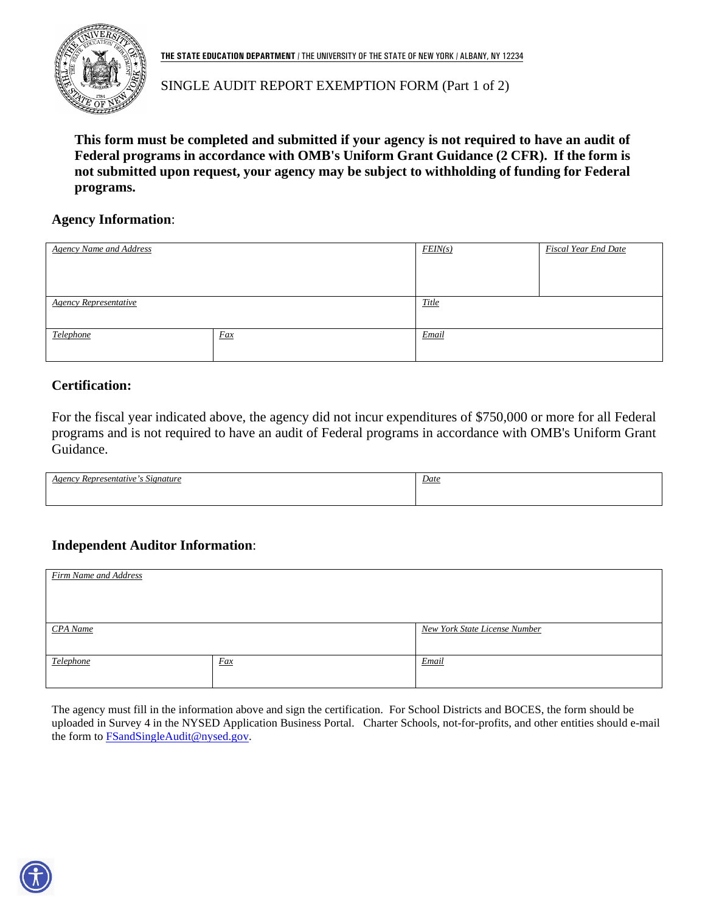

**THE STATE EDUCATION DEPARTMENT** / THE UNIVERSITY OF THE STATE OF NEW YORK / ALBANY, NY 12234

## SINGLE AUDIT REPORT EXEMPTION FORM (Part 1 of 2)

**This form must be completed and submitted if your agency is not required to have an audit of Federal programs in accordance with OMB's Uniform Grant Guidance (2 CFR). If the form is not submitted upon request, your agency may be subject to withholding of funding for Federal programs.**

#### **Agency Information**:

| <b>Agency Name and Address</b> |     | <b>Fiscal Year End Date</b><br>FEN(s) |  |
|--------------------------------|-----|---------------------------------------|--|
|                                |     |                                       |  |
|                                |     |                                       |  |
| <b>Agency Representative</b>   |     | <b>Title</b>                          |  |
|                                |     |                                       |  |
| Telephone                      | Fax | Email                                 |  |
|                                |     |                                       |  |

### **Certification:**

For the fiscal year indicated above, the agency did not incur expenditures of \$750,000 or more for all Federal programs and is not required to have an audit of Federal programs in accordance with OMB's Uniform Grant Guidance.

| $\sim$<br>Agency<br>Signature<br><i>Representative</i> | Date |
|--------------------------------------------------------|------|
|                                                        |      |
|                                                        |      |

### **Independent Auditor Information**:

| Firm Name and Address |     |                               |
|-----------------------|-----|-------------------------------|
|                       |     |                               |
|                       |     |                               |
|                       |     |                               |
|                       |     |                               |
|                       |     |                               |
|                       |     |                               |
| CPA Name              |     | New York State License Number |
|                       |     |                               |
|                       |     |                               |
|                       |     |                               |
| Telephone             | Fax | Email                         |
|                       |     |                               |
|                       |     |                               |
|                       |     |                               |

The agency must fill in the information above and sign the certification. For School Districts and BOCES, the form should be uploaded in Survey 4 in the NYSED Application Business Portal. Charter Schools, not-for-profits, and other entities should e-mail the form to [FSandSingleAudit@nysed.gov.](mailto:FSandSingleAudit@nysed.gov)